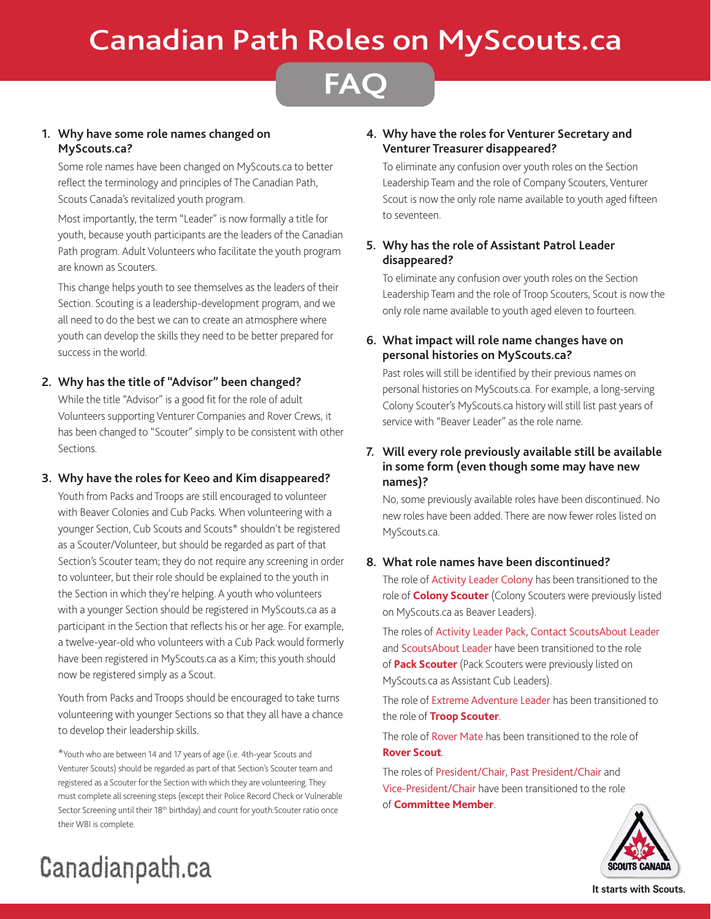## Canadian Path Roles on MyScouts.ca

## **FAQ**

## **1. Why have some role names changed on MyScouts.ca?**

Some role names have been changed on MyScouts.ca to better reflect the terminology and principles of The Canadian Path, Scouts Canada's revitalized youth program.

Most importantly, the term "Leader" is now formally a title for youth, because youth participants are the leaders of the Canadian Path program. Adult Volunteers who facilitate the youth program are known as Scouters.

This change helps youth to see themselves as the leaders of their Section. Scouting is a leadership-development program, and we all need to do the best we can to create an atmosphere where youth can develop the skills they need to be better prepared for success in the world.

## **2. Why has the title of "Advisor" been changed?**

While the title "Advisor" is a good fit for the role of adult Volunteers supporting Venturer Companies and Rover Crews, it has been changed to "Scouter" simply to be consistent with other Sections.

## **3. Why have the roles for Keeo and Kim disappeared?**

Youth from Packs and Troops are still encouraged to volunteer with Beaver Colonies and Cub Packs. When volunteering with a younger Section, Cub Scouts and Scouts\* shouldn't be registered as a Scouter/Volunteer, but should be regarded as part of that Section's Scouter team; they do not require any screening in order to volunteer, but their role should be explained to the youth in the Section in which they're helping. A youth who volunteers with a younger Section should be registered in MyScouts.ca as a participant in the Section that reflects his or her age. For example, a twelve-year-old who volunteers with a Cub Pack would formerly have been registered in MyScouts.ca as a Kim; this youth should now be registered simply as a Scout.

Youth from Packs and Troops should be encouraged to take turns volunteering with younger Sections so that they all have a chance to develop their leadership skills.

\*Youth who are between 14 and 17 years of age (i.e. 4th-year Scouts and Venturer Scouts) should be regarded as part of that Section's Scouter team and registered as a Scouter for the Section with which they are volunteering. They must complete all screening steps (except their Police Record Check or Vulnerable Sector Screening until their 18<sup>th</sup> birthday) and count for youth:Scouter ratio once their WBI is complete.

## **4. Why have the roles for Venturer Secretary and Venturer Treasurer disappeared?**

To eliminate any confusion over youth roles on the Section Leadership Team and the role of Company Scouters, Venturer Scout is now the only role name available to youth aged fifteen to seventeen.

## **5. Why has the role of Assistant Patrol Leader disappeared?**

To eliminate any confusion over youth roles on the Section Leadership Team and the role of Troop Scouters, Scout is now the only role name available to youth aged eleven to fourteen.

## **6. What impact will role name changes have on personal histories on MyScouts.ca?**

Past roles will still be identified by their previous names on personal histories on MyScouts.ca. For example, a long-serving Colony Scouter's MyScouts.ca history will still list past years of service with "Beaver Leader" as the role name.

## **7. Will every role previously available still be available in some form (even though some may have new names)?**

No, some previously available roles have been discontinued. No new roles have been added. There are now fewer roles listed on MyScouts.ca.

## **8. What role names have been discontinued?**

The role of Activity Leader Colony has been transitioned to the role of **Colony Scouter** (Colony Scouters were previously listed on MyScouts.ca as Beaver Leaders).

The roles of Activity Leader Pack, Contact ScoutsAbout Leader and ScoutsAbout Leader have been transitioned to the role of **Pack Scouter** (Pack Scouters were previously listed on MyScouts.ca as Assistant Cub Leaders).

The role of Extreme Adventure Leader has been transitioned to the role of **Troop Scouter**.

The role of Rover Mate has been transitioned to the role of **Rover Scout**.

The roles of President/Chair, Past President/Chair and Vice-President/Chair have been transitioned to the role of **Committee Member**.



# Canadianpath.ca

**It starts with Scouts.**